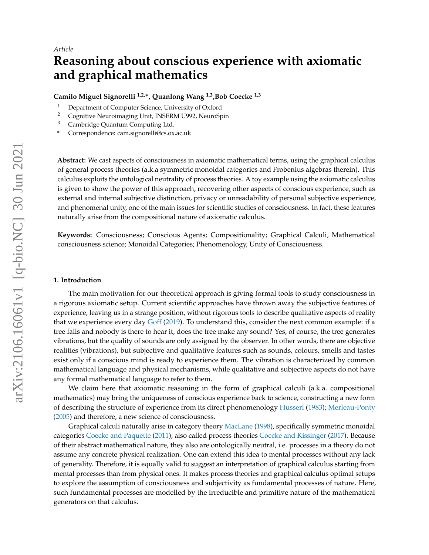# **Reasoning about conscious experience with axiomatic and graphical mathematics**

**Camilo Miguel Signorelli 1,2,**<sup>∗</sup> **, Quanlong Wang 1,3,Bob Coecke 1,3**

- <sup>1</sup> Department of Computer Science, University of Oxford<br><sup>2</sup> Cognitive Neuroimaging Unit INSERM U992 NeuroSr
- <sup>2</sup> Cognitive Neuroimaging Unit, INSERM U992, NeuroSpin<sup>3</sup> Cambridge Ouantum Computing Ltd.
- <sup>3</sup> Cambridge Quantum Computing Ltd.
- **\*** Correspondence: cam.signorelli@cs.ox.ac.uk

**Abstract:** We cast aspects of consciousness in axiomatic mathematical terms, using the graphical calculus of general process theories (a.k.a symmetric monoidal categories and Frobenius algebras therein). This calculus exploits the ontological neutrality of process theories. A toy example using the axiomatic calculus is given to show the power of this approach, recovering other aspects of conscious experience, such as external and internal subjective distinction, privacy or unreadability of personal subjective experience, and phenomenal unity, one of the main issues for scientific studies of consciousness. In fact, these features naturally arise from the compositional nature of axiomatic calculus.

**Keywords:** Consciousness; Conscious Agents; Compositionality; Graphical Calculi, Mathematical consciousness science; Monoidal Categories; Phenomenology, Unity of Consciousness.

## **1. Introduction**

The main motivation for our theoretical approach is giving formal tools to study consciousness in a rigorous axiomatic setup. Current scientific approaches have thrown away the subjective features of experience, leaving us in a strange position, without rigorous tools to describe qualitative aspects of reality that we experience every day [Goff](#page-19-0) [\(2019\)](#page-19-0). To understand this, consider the next common example: if a tree falls and nobody is there to hear it, does the tree make any sound? Yes, of course, the tree generates vibrations, but the quality of sounds are only assigned by the observer. In other words, there are objective realities (vibrations), but subjective and qualitative features such as sounds, colours, smells and tastes exist only if a conscious mind is ready to experience them. The vibration is characterized by common mathematical language and physical mechanisms, while qualitative and subjective aspects do not have any formal mathematical language to refer to them.

We claim here that axiomatic reasoning in the form of graphical calculi (a.k.a. compositional mathematics) may bring the uniqueness of conscious experience back to science, constructing a new form of describing the structure of experience from its direct phenomenology [Husserl](#page-19-1) [\(1983\)](#page-19-1); [Merleau-Ponty](#page-20-0) [\(2005\)](#page-20-0) and therefore, a new science of consciousness.

Graphical calculi naturally arise in category theory [MacLane](#page-20-1) [\(1998\)](#page-20-1), specifically symmetric monoidal categories [Coecke and Paquette](#page-19-2) [\(2011\)](#page-19-2), also called process theories [Coecke and Kissinger](#page-19-3) [\(2017\)](#page-19-3). Because of their abstract mathematical nature, they also are ontologically neutral, i.e. processes in a theory do not assume any concrete physical realization. One can extend this idea to mental processes without any lack of generality. Therefore, it is equally valid to suggest an interpretation of graphical calculus starting from mental processes than from physical ones. It makes process theories and graphical calculus optimal setups to explore the assumption of consciousness and subjectivity as fundamental processes of nature. Here, such fundamental processes are modelled by the irreducible and primitive nature of the mathematical generators on that calculus.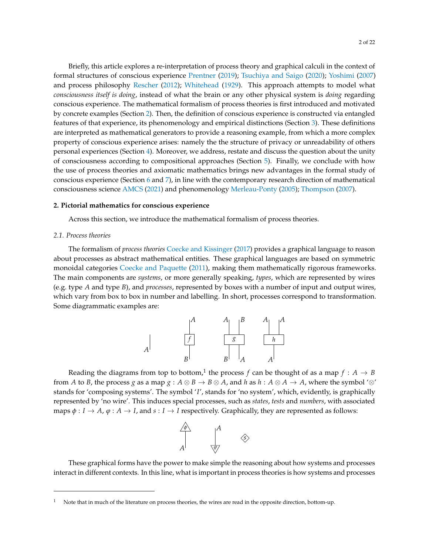Briefly, this article explores a re-interpretation of process theory and graphical calculi in the context of formal structures of conscious experience [Prentner](#page-20-2) [\(2019\)](#page-20-2); [Tsuchiya and Saigo](#page-20-3) [\(2020\)](#page-20-3); [Yoshimi](#page-21-0) [\(2007\)](#page-21-0) and process philosophy [Rescher](#page-20-4) [\(2012\)](#page-20-4); [Whitehead](#page-21-1) [\(1929\)](#page-21-1). This approach attempts to model what *consciousness itself is doing*, instead of what the brain or any other physical system is *doing* regarding conscious experience. The mathematical formalism of process theories is first introduced and motivated by concrete examples (Section [2\)](#page-1-0). Then, the definition of conscious experience is constructed via entangled features of that experience, its phenomenology and empirical distinctions (Section [3\)](#page-5-0). These definitions are interpreted as mathematical generators to provide a reasoning example, from which a more complex property of conscious experience arises: namely the the structure of privacy or unreadability of others personal experiences (Section [4\)](#page-10-0). Moreover, we address, restate and discuss the question about the unity of consciousness according to compositional approaches (Section [5\)](#page-14-0). Finally, we conclude with how the use of process theories and axiomatic mathematics brings new advantages in the formal study of conscious experience (Section [6](#page-17-0) and [7\)](#page-18-0), in line with the contemporary research direction of mathematical consciousness science [AMCS](#page-18-1) [\(2021\)](#page-18-1) and phenomenology [Merleau-Ponty](#page-20-0) [\(2005\)](#page-20-0); [Thompson](#page-20-5) [\(2007\)](#page-20-5).

## <span id="page-1-0"></span>**2. Pictorial mathematics for conscious experience**

Across this section, we introduce the mathematical formalism of process theories.

## <span id="page-1-1"></span>*2.1. Process theories*

The formalism of *process theories* [Coecke and Kissinger](#page-19-3) [\(2017\)](#page-19-3) provides a graphical language to reason about processes as abstract mathematical entities. These graphical languages are based on symmetric monoidal categories [Coecke and Paquette](#page-19-2) [\(2011\)](#page-19-2), making them mathematically rigorous frameworks. The main components are *systems*, or more generally speaking, *types*, which are represented by wires (e.g. type *A* and type *B*), and *processes*, represented by boxes with a number of input and output wires, which vary from box to box in number and labelling. In short, processes correspond to transformation. Some diagrammatic examples are:



Reading the diagrams from top to bottom,<sup>1</sup> the process  $f$  can be thought of as a map  $f : A \to B$ from *A* to *B*, the process *g* as a map *g* :  $A \otimes B \to B \otimes A$ , and *h* as  $h : A \otimes A \to A$ , where the symbol ' $\otimes$ ' stands for 'composing systems'. The symbol '*I*', stands for 'no system', which, evidently, is graphically represented by 'no wire'. This induces special processes, such as *states*, *tests* and *numbers*, with associated maps  $\phi: I \to A$ ,  $\phi: A \to I$ , and  $s: I \to I$  respectively. Graphically, they are represented as follows:



These graphical forms have the power to make simple the reasoning about how systems and processes interact in different contexts. In this line, what is important in process theories is how systems and processes

Note that in much of the literature on process theories, the wires are read in the opposite direction, bottom-up.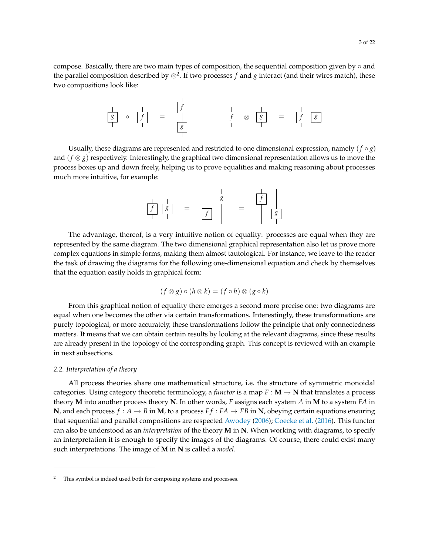compose. Basically, there are two main types of composition, the sequential composition given by  $\circ$  and the parallel composition described by  $\otimes^2.$  If two processes  $f$  and  $g$  interact (and their wires match), these two compositions look like:



Usually, these diagrams are represented and restricted to one dimensional expression, namely  $(f \circ g)$ and  $(f \otimes g)$  respectively. Interestingly, the graphical two dimensional representation allows us to move the process boxes up and down freely, helping us to prove equalities and making reasoning about processes much more intuitive, for example:



The advantage, thereof, is a very intuitive notion of equality: processes are equal when they are represented by the same diagram. The two dimensional graphical representation also let us prove more complex equations in simple forms, making them almost tautological. For instance, we leave to the reader the task of drawing the diagrams for the following one-dimensional equation and check by themselves that the equation easily holds in graphical form:

$$
(f \otimes g) \circ (h \otimes k) = (f \circ h) \otimes (g \circ k)
$$

From this graphical notion of equality there emerges a second more precise one: two diagrams are equal when one becomes the other via certain transformations. Interestingly, these transformations are purely topological, or more accurately, these transformations follow the principle that only connectedness matters. It means that we can obtain certain results by looking at the relevant diagrams, since these results are already present in the topology of the corresponding graph. This concept is reviewed with an example in next subsections.

## *2.2. Interpretation of a theory*

All process theories share one mathematical structure, i.e. the structure of symmetric monoidal categories. Using category theoretic terminology, a *functor* is a map  $F : \mathbf{M} \to \mathbf{N}$  that translates a process theory **M** into another process theory **N**. In other words, *F* assigns each system *A* in **M** to a system *FA* in **N**, and each process  $f : A \to B$  in **M**, to a process  $Ff : FA \to FB$  in **N**, obeying certain equations ensuring that sequential and parallel compositions are respected [Awodey](#page-19-4) [\(2006\)](#page-19-4); [Coecke et al.](#page-19-5) [\(2016\)](#page-19-5). This functor can also be understood as an *interpretation* of the theory **M** in **N**. When working with diagrams, to specify an interpretation it is enough to specify the images of the diagrams. Of course, there could exist many such interpretations. The image of **M** in **N** is called a *model*.

<sup>&</sup>lt;sup>2</sup> This symbol is indeed used both for composing systems and processes.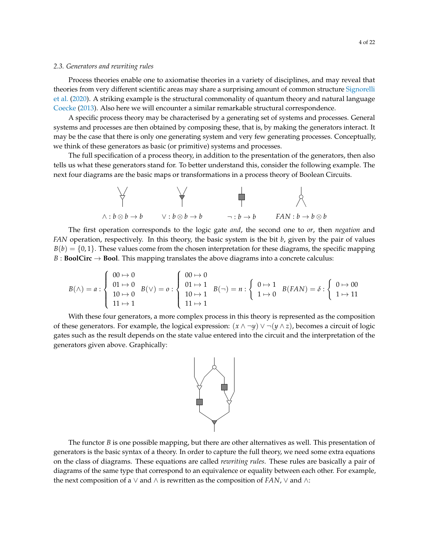#### <span id="page-3-0"></span>*2.3. Generators and rewriting rules*

Process theories enable one to axiomatise theories in a variety of disciplines, and may reveal that theories from very different scientific areas may share a surprising amount of common structure [Signorelli](#page-20-6) [et al.](#page-20-6) [\(2020\)](#page-20-6). A striking example is the structural commonality of quantum theory and natural language [Coecke](#page-19-6) [\(2013\)](#page-19-6). Also here we will encounter a similar remarkable structural correspondence.

A specific process theory may be characterised by a generating set of systems and processes. General systems and processes are then obtained by composing these, that is, by making the generators interact. It may be the case that there is only one generating system and very few generating processes. Conceptually, we think of these generators as basic (or primitive) systems and processes.

The full specification of a process theory, in addition to the presentation of the generators, then also tells us what these generators stand for. To better understand this, consider the following example. The next four diagrams are the basic maps or transformations in a process theory of Boolean Circuits.



The first operation corresponds to the logic gate *and*, the second one to *or*, then *negation* and *FAN* operation, respectively. In this theory, the basic system is the bit *b*, given by the pair of values  $B(b) = \{0, 1\}$ . These values come from the chosen interpretation for these diagrams, the specific mapping  $B:$  **BoolCirc**  $\rightarrow$  **Bool**. This mapping translates the above diagrams into a concrete calculus:

$$
B(\wedge) = a : \begin{cases} 00 \mapsto 0 \\ 01 \mapsto 0 \\ 10 \mapsto 0 \\ 11 \mapsto 1 \end{cases} B(\vee) = o : \begin{cases} 00 \mapsto 0 \\ 01 \mapsto 1 \\ 10 \mapsto 1 \\ 11 \mapsto 1 \end{cases} B(\neg) = n : \begin{cases} 0 \mapsto 1 \\ 1 \mapsto 0 \end{cases} B(FAN) = \delta : \begin{cases} 0 \mapsto 00 \\ 1 \mapsto 11 \\ 1 \mapsto 11 \end{cases}
$$

With these four generators, a more complex process in this theory is represented as the composition of these generators. For example, the logical expression:  $(x \land \neg y) \lor \neg (y \land z)$ , becomes a circuit of logic gates such as the result depends on the state value entered into the circuit and the interpretation of the generators given above. Graphically:



The functor *B* is one possible mapping, but there are other alternatives as well. This presentation of generators is the basic syntax of a theory. In order to capture the full theory, we need some extra equations on the class of diagrams. These equations are called *rewriting rules*. These rules are basically a pair of diagrams of the same type that correspond to an equivalence or equality between each other. For example, the next composition of a ∨ and ∧ is rewritten as the composition of *FAN*, ∨ and ∧: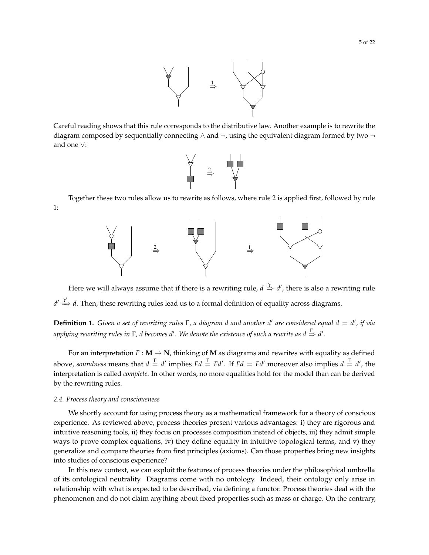

Careful reading shows that this rule corresponds to the distributive law. Another example is to rewrite the diagram composed by sequentially connecting  $\land$  and  $\neg$ , using the equivalent diagram formed by two  $\neg$ and one ∨:



Together these two rules allow us to rewrite as follows, where rule 2 is applied first, followed by rule 1:



Here we will always assume that if there is a rewriting rule,  $d \stackrel{\gamma}{\Rightarrow} d'$ , there is also a rewriting rule *d'*  $\stackrel{\gamma'}{\Longrightarrow}$  *d*. Then, these rewriting rules lead us to a formal definition of equality across diagrams.

**Definition 1.** *Given a set of rewriting rules* Γ*, a diagram d and another d* 0 *are considered equal d* = *d* 0 *, if via* applying rewriting rules in  $\Gamma$ , d becomes d'. We denote the existence of such a rewrite as d  $\stackrel{\Gamma}{\Rightarrow}$  d'.

For an interpretation  $F : M \to N$ , thinking of M as diagrams and rewrites with equality as defined above, soundness means that  $d = d'$  implies  $Fd = Fd'$ . If  $Fd = Fd'$  moreover also implies  $d = d'$ , the interpretation is called *complete*. In other words, no more equalities hold for the model than can be derived by the rewriting rules.

## *2.4. Process theory and consciousness*

We shortly account for using process theory as a mathematical framework for a theory of conscious experience. As reviewed above, process theories present various advantages: i) they are rigorous and intuitive reasoning tools, ii) they focus on processes composition instead of objects, iii) they admit simple ways to prove complex equations, iv) they define equality in intuitive topological terms, and v) they generalize and compare theories from first principles (axioms). Can those properties bring new insights into studies of conscious experience?

In this new context, we can exploit the features of process theories under the philosophical umbrella of its ontological neutrality. Diagrams come with no ontology. Indeed, their ontology only arise in relationship with what is expected to be described, via defining a functor. Process theories deal with the phenomenon and do not claim anything about fixed properties such as mass or charge. On the contrary,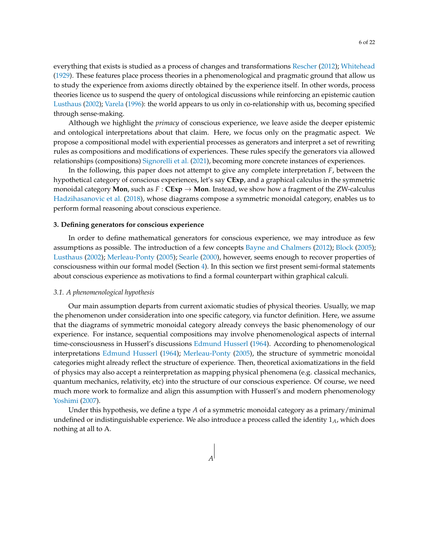everything that exists is studied as a process of changes and transformations [Rescher](#page-20-4) [\(2012\)](#page-20-4); [Whitehead](#page-21-1) [\(1929\)](#page-21-1). These features place process theories in a phenomenological and pragmatic ground that allow us to study the experience from axioms directly obtained by the experience itself. In other words, process theories licence us to suspend the query of ontological discussions while reinforcing an epistemic caution [Lusthaus](#page-20-7) [\(2002\)](#page-20-7); [Varela](#page-21-2) [\(1996\)](#page-21-2): the world appears to us only in co-relationship with us, becoming specified through sense-making.

Although we highlight the *primacy* of conscious experience, we leave aside the deeper epistemic and ontological interpretations about that claim. Here, we focus only on the pragmatic aspect. We propose a compositional model with experiential processes as generators and interpret a set of rewriting rules as compositions and modifications of experiences. These rules specify the generators via allowed relationships (compositions) [Signorelli et al.](#page-20-8) [\(2021\)](#page-20-8), becoming more concrete instances of experiences.

In the following, this paper does not attempt to give any complete interpretation *F*, between the hypothetical category of conscious experiences, let's say **CExp**, and a graphical calculus in the symmetric monoidal category **Mon**, such as  $F : \mathbf{CExp} \to \mathbf{Mon}$ . Instead, we show how a fragment of the ZW-calculus [Hadzihasanovic et al.](#page-19-7) [\(2018\)](#page-19-7), whose diagrams compose a symmetric monoidal category, enables us to perform formal reasoning about conscious experience.

#### <span id="page-5-0"></span>**3. Defining generators for conscious experience**

In order to define mathematical generators for conscious experience, we may introduce as few assumptions as possible. The introduction of a few concepts [Bayne and Chalmers](#page-19-8) [\(2012\)](#page-19-8); [Block](#page-19-9) [\(2005\)](#page-19-9); [Lusthaus](#page-20-7) [\(2002\)](#page-20-7); [Merleau-Ponty](#page-20-0) [\(2005\)](#page-20-0); [Searle](#page-20-9) [\(2000\)](#page-20-9), however, seems enough to recover properties of consciousness within our formal model (Section [4\)](#page-10-0). In this section we first present semi-formal statements about conscious experience as motivations to find a formal counterpart within graphical calculi.

#### *3.1. A phenomenological hypothesis*

Our main assumption departs from current axiomatic studies of physical theories. Usually, we map the phenomenon under consideration into one specific category, via functor definition. Here, we assume that the diagrams of symmetric monoidal category already conveys the basic phenomenology of our experience. For instance, sequential compositions may involve phenomenological aspects of internal time-consciousness in Husserl's discussions [Edmund Husserl](#page-19-10) [\(1964\)](#page-19-10). According to phenomenological interpretations [Edmund Husserl](#page-19-10) [\(1964\)](#page-19-10); [Merleau-Ponty](#page-20-0) [\(2005\)](#page-20-0), the structure of symmetric monoidal categories might already reflect the structure of experience. Then, theoretical axiomatizations in the field of physics may also accept a reinterpretation as mapping physical phenomena (e.g. classical mechanics, quantum mechanics, relativity, etc) into the structure of our conscious experience. Of course, we need much more work to formalize and align this assumption with Husserl's and modern phenomenology [Yoshimi](#page-21-0) [\(2007\)](#page-21-0).

Under this hypothesis, we define a type *A* of a symmetric monoidal category as a primary/minimal undefined or indistinguishable experience. We also introduce a process called the identity 1*A*, which does nothing at all to A.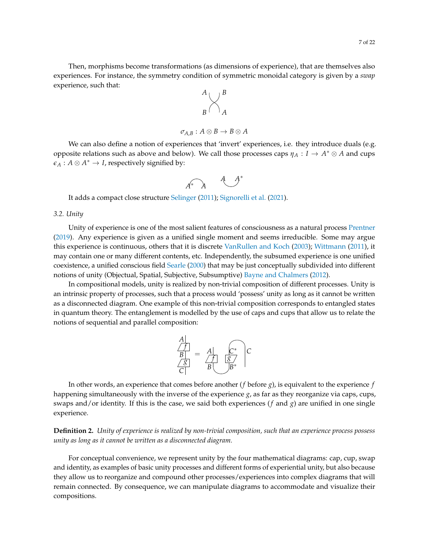Then, morphisms become transformations (as dimensions of experience), that are themselves also experiences. For instance, the symmetry condition of symmetric monoidal category is given by a *swap* experience, such that:

$$
A \vee B
$$
  
B 
$$
A
$$
  

$$
\sigma_{A,B}: A \otimes B \to B \otimes A
$$

We can also define a notion of experiences that 'invert' experiences, i.e. they introduce duals (e.g. opposite relations such as above and below). We call those processes caps  $\eta_A: I \to A^* \otimes A$  and cups  $\epsilon_A : A \otimes A^* \to I$ , respectively signified by:

$$
\widehat{A^*} A \qquad \stackrel{A}{\longrightarrow} \widehat{A^*}
$$

It adds a compact close structure [Selinger](#page-20-10) [\(2011\)](#page-20-10); [Signorelli et al.](#page-20-8) [\(2021\)](#page-20-8).

## *3.2. Unity*

Unity of experience is one of the most salient features of consciousness as a natural process [Prentner](#page-20-2) [\(2019\)](#page-20-2). Any experience is given as a unified single moment and seems irreducible. Some may argue this experience is continuous, others that it is discrete [VanRullen and Koch](#page-20-11) [\(2003\)](#page-20-11); [Wittmann](#page-21-3) [\(2011\)](#page-21-3), it may contain one or many different contents, etc. Independently, the subsumed experience is one unified coexistence, a unified conscious field [Searle](#page-20-9) [\(2000\)](#page-20-9) that may be just conceptually subdivided into different notions of unity (Objectual, Spatial, Subjective, Subsumptive) [Bayne and Chalmers](#page-19-8) [\(2012\)](#page-19-8).

In compositional models, unity is realized by non-trivial composition of different processes. Unity is an intrinsic property of processes, such that a process would 'possess' unity as long as it cannot be written as a disconnected diagram. One example of this non-trivial composition corresponds to entangled states in quantum theory. The entanglement is modelled by the use of caps and cups that allow us to relate the notions of sequential and parallel composition:

$$
\frac{\overline{A}}{\overline{B}} = \frac{A}{\overline{B}} \frac{\overline{C^*}}{\overline{B}} = \frac{\overline{A}}{\overline{B}} \frac{\overline{C^*}}{\overline{B^*}} \overline{C}
$$

In other words, an experience that comes before another (*f* before *g*), is equivalent to the experience *f* happening simultaneously with the inverse of the experience  $g$ , as far as they reorganize via caps, cups, swaps and/or identity. If this is the case, we said both experiences (*f* and *g*) are unified in one single experience.

**Definition 2.** *Unity of experience is realized by non-trivial composition, such that an experience process possess unity as long as it cannot be written as a disconnected diagram.*

For conceptual convenience, we represent unity by the four mathematical diagrams: cap, cup, swap and identity, as examples of basic unity processes and different forms of experiential unity, but also because they allow us to reorganize and compound other processes/experiences into complex diagrams that will remain connected. By consequence, we can manipulate diagrams to accommodate and visualize their compositions.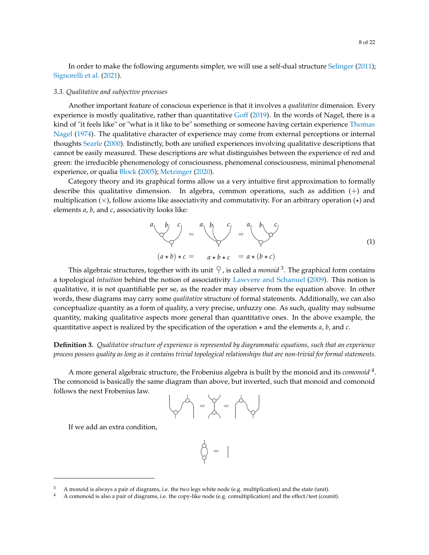In order to make the following arguments simpler, we will use a self-dual structure [Selinger](#page-20-10) [\(2011\)](#page-20-10); [Signorelli et al.](#page-20-8) [\(2021\)](#page-20-8).

## <span id="page-7-2"></span>*3.3. Qualitative and subjective processes*

Another important feature of conscious experience is that it involves a *qualitative* dimension. Every experience is mostly qualitative, rather than quantitative [Goff](#page-19-0) [\(2019\)](#page-19-0). In the words of Nagel, there is a kind of "it feels like" or "what is it like to be" something or someone having certain experience [Thomas](#page-20-12) [Nagel](#page-20-12) [\(1974\)](#page-20-12). The qualitative character of experience may come from external perceptions or internal thoughts [Searle](#page-20-9) [\(2000\)](#page-20-9). Indistinctly, both are unified experiences involving qualitative descriptions that cannot be easily measured. These descriptions are what distinguishes between the experience of red and green: the irreducible phenomenology of consciousness, phenomenal consciousness, minimal phenomenal experience, or qualia [Block](#page-19-9) [\(2005\)](#page-19-9); [Metzinger](#page-20-13) [\(2020\)](#page-20-13).

Category theory and its graphical forms allow us a very intuitive first approximation to formally describe this qualitative dimension. In algebra, common operations, such as addition  $(+)$  and multiplication  $(x)$ , follow axioms like associativity and commutativity. For an arbitrary operation  $(x)$  and elements *a*, *b*, and *c*, associativity looks like:

<span id="page-7-1"></span>
$$
\begin{aligned}\n\begin{pmatrix} a & b \\ c \end{pmatrix} &= a \begin{pmatrix} b & c \\ d & d \end{pmatrix} \\
(a \star b) \star c &= a \star b \star c \\
a \star b \star c &= a \star (b \star c)\n\end{aligned}\n\tag{1}
$$

This algebraic structures, together with its unit  $\, \heartsuit$  , is called a *monoid* <sup>3</sup>. The graphical form contains a topological *intuition* behind the notion of associativity [Lawvere and Schanuel](#page-20-14) [\(2009\)](#page-20-14). This notion is qualitative, it is not quantifiable per se, as the reader may observe from the equation above. In other words, these diagrams may carry some *qualitative* structure of formal statements. Additionally, we can also conceptualize quantity as a form of quality, a very precise, unfuzzy one. As such, quality may subsume quantity, making qualitative aspects more general than quantitative ones. In the above example, the quantitative aspect is realized by the specification of the operation  $\star$  and the elements  $a$ ,  $b$ , and  $c$ .

<span id="page-7-0"></span>**Definition 3.** *Qualitative structure of experience is represented by diagrammatic equations, such that an experience process possess quality as long as it contains trivial topological relationships that are non-trivial for formal statements.*

A more general algebraic structure, the Frobenius algebra is built by the monoid and its *comonoid* <sup>4</sup> . The comonoid is basically the same diagram than above, but inverted, such that monoid and comonoid follows the next Frobenius law.

$$
\begin{pmatrix} 1 & 0 & 0 \\ 0 & 0 & 0 \\ 0 & 0 & 0 \end{pmatrix} = \begin{pmatrix} 1 & 0 & 0 \\ 0 & 0 & 0 \\ 0 & 0 & 0 \end{pmatrix}
$$

 $\bigcirc$ 

If we add an extra condition,

<sup>3</sup> A monoid is always a pair of diagrams, i.e. the two legs white node (e.g. multiplication) and the state (unit).

A comonoid is also a pair of diagrams, i.e. the copy-like node (e.g. comultiplication) and the effect/test (counit).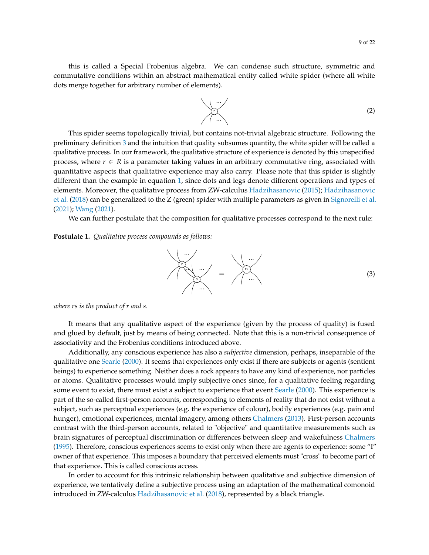$$
\begin{pmatrix}\n\cdots \\
\cdots\n\end{pmatrix}
$$
\n(2)

This spider seems topologically trivial, but contains not-trivial algebraic structure. Following the preliminary definition [3](#page-7-0) and the intuition that quality subsumes quantity, the white spider will be called a qualitative process. In our framework, the qualitative structure of experience is denoted by this unspecified process, where  $r \in R$  is a parameter taking values in an arbitrary commutative ring, associated with quantitative aspects that qualitative experience may also carry. Please note that this spider is slightly different than the example in equation [1,](#page-7-1) since dots and legs denote different operations and types of elements. Moreover, the qualitative process from ZW-calculus [Hadzihasanovic](#page-19-11) [\(2015\)](#page-19-11); [Hadzihasanovic](#page-19-7) [et al.](#page-19-7) [\(2018\)](#page-19-7) can be generalized to the Z (green) spider with multiple parameters as given in [Signorelli et al.](#page-20-8) [\(2021\)](#page-20-8); [Wang](#page-21-4) [\(2021\)](#page-21-4).

We can further postulate that the composition for qualitative processes correspond to the next rule:

#### **Postulate 1.** *Qualitative process compounds as follows:*

<span id="page-8-0"></span>

*where rs is the product of r and s.*

It means that any qualitative aspect of the experience (given by the process of quality) is fused and glued by default, just by means of being connected. Note that this is a non-trivial consequence of associativity and the Frobenius conditions introduced above.

Additionally, any conscious experience has also a *subjective* dimension, perhaps, inseparable of the qualitative one [Searle](#page-20-9) [\(2000\)](#page-20-9). It seems that experiences only exist if there are subjects or agents (sentient beings) to experience something. Neither does a rock appears to have any kind of experience, nor particles or atoms. Qualitative processes would imply subjective ones since, for a qualitative feeling regarding some event to exist, there must exist a subject to experience that event [Searle](#page-20-9) [\(2000\)](#page-20-9). This experience is part of the so-called first-person accounts, corresponding to elements of reality that do not exist without a subject, such as perceptual experiences (e.g. the experience of colour), bodily experiences (e.g. pain and hunger), emotional experiences, mental imagery, among others [Chalmers](#page-19-12) [\(2013\)](#page-19-12). First-person accounts contrast with the third-person accounts, related to "objective" and quantitative measurements such as brain signatures of perceptual discrimination or differences between sleep and wakefulness [Chalmers](#page-19-13) [\(1995\)](#page-19-13). Therefore, conscious experiences seems to exist only when there are agents to experience: some "I" owner of that experience. This imposes a boundary that perceived elements must "cross" to become part of that experience. This is called conscious access.

In order to account for this intrinsic relationship between qualitative and subjective dimension of experience, we tentatively define a subjective process using an adaptation of the mathematical comonoid introduced in ZW-calculus [Hadzihasanovic et al.](#page-19-7) [\(2018\)](#page-19-7), represented by a black triangle.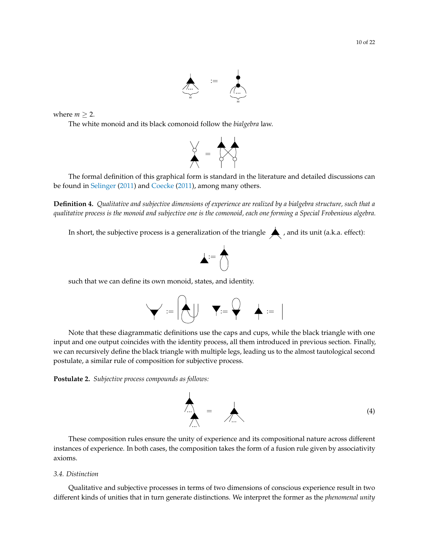

where  $m \geq 2$ .

The white monoid and its black comonoid follow the *bialgebra* law.



The formal definition of this graphical form is standard in the literature and detailed discussions can be found in [Selinger](#page-20-10) [\(2011\)](#page-20-10) and [Coecke](#page-19-14) [\(2011\)](#page-19-14), among many others.

**Definition 4.** *Qualitative and subjective dimensions of experience are realized by a bialgebra structure, such that a qualitative process is the monoid and subjective one is the comonoid, each one forming a Special Frobenious algebra.*

In short, the subjective process is a generalization of the triangle  $\blacktriangle$ , and its unit (a.k.a. effect):



such that we can define its own monoid, states, and identity.



Note that these diagrammatic definitions use the caps and cups, while the black triangle with one input and one output coincides with the identity process, all them introduced in previous section. Finally, we can recursively define the black triangle with multiple legs, leading us to the almost tautological second postulate, a similar rule of composition for subjective process.

**Postulate 2.** *Subjective process compounds as follows:*

<span id="page-9-0"></span>

These composition rules ensure the unity of experience and its compositional nature across different instances of experience. In both cases, the composition takes the form of a fusion rule given by associativity axioms.

# *3.4. Distinction*

Qualitative and subjective processes in terms of two dimensions of conscious experience result in two different kinds of unities that in turn generate distinctions. We interpret the former as the *phenomenal unity*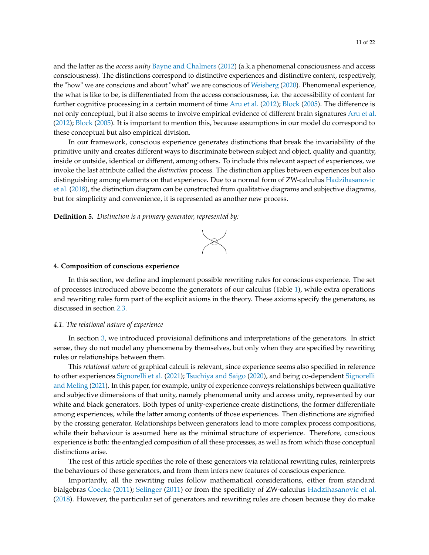and the latter as the *access unity* [Bayne and Chalmers](#page-19-8) [\(2012\)](#page-19-8) (a.k.a phenomenal consciousness and access consciousness). The distinctions correspond to distinctive experiences and distinctive content, respectively, the "how" we are conscious and about "what" we are conscious of [Weisberg](#page-21-5) [\(2020\)](#page-21-5). Phenomenal experience, the what is like to be, is differentiated from the access consciousness, i.e. the accessibility of content for further cognitive processing in a certain moment of time [Aru et al.](#page-19-15) [\(2012\)](#page-19-15); [Block](#page-19-9) [\(2005\)](#page-19-9). The difference is not only conceptual, but it also seems to involve empirical evidence of different brain signatures [Aru et al.](#page-19-15) [\(2012\)](#page-19-15); [Block](#page-19-9) [\(2005\)](#page-19-9). It is important to mention this, because assumptions in our model do correspond to these conceptual but also empirical division.

In our framework, conscious experience generates distinctions that break the invariability of the primitive unity and creates different ways to discriminate between subject and object, quality and quantity, inside or outside, identical or different, among others. To include this relevant aspect of experiences, we invoke the last attribute called the *distinction* process. The distinction applies between experiences but also distinguishing among elements on that experience. Due to a normal form of ZW-calculus [Hadzihasanovic](#page-19-7) [et al.](#page-19-7) [\(2018\)](#page-19-7), the distinction diagram can be constructed from qualitative diagrams and subjective diagrams, but for simplicity and convenience, it is represented as another new process.

**Definition 5.** *Distinction is a primary generator, represented by:*



#### <span id="page-10-0"></span>**4. Composition of conscious experience**

In this section, we define and implement possible rewriting rules for conscious experience. The set of processes introduced above become the generators of our calculus (Table [1\)](#page-11-0), while extra operations and rewriting rules form part of the explicit axioms in the theory. These axioms specify the generators, as discussed in section [2.3.](#page-3-0)

#### *4.1. The relational nature of experience*

In section [3,](#page-5-0) we introduced provisional definitions and interpretations of the generators. In strict sense, they do not model any phenomena by themselves, but only when they are specified by rewriting rules or relationships between them.

This *relational nature* of graphical calculi is relevant, since experience seems also specified in reference to other experiences [Signorelli et al.](#page-20-8) [\(2021\)](#page-20-8); [Tsuchiya and Saigo](#page-20-3) [\(2020\)](#page-20-3), and being co-dependent [Signorelli](#page-20-15) [and Meling](#page-20-15) [\(2021\)](#page-20-15). In this paper, for example, unity of experience conveys relationships between qualitative and subjective dimensions of that unity, namely phenomenal unity and access unity, represented by our white and black generators. Both types of unity-experience create distinctions, the former differentiate among experiences, while the latter among contents of those experiences. Then distinctions are signified by the crossing generator. Relationships between generators lead to more complex process compositions, while their behaviour is assumed here as the minimal structure of experience. Therefore, conscious experience is both: the entangled composition of all these processes, as well as from which those conceptual distinctions arise.

The rest of this article specifies the role of these generators via relational rewriting rules, reinterprets the behaviours of these generators, and from them infers new features of conscious experience.

Importantly, all the rewriting rules follow mathematical considerations, either from standard bialgebras [Coecke](#page-19-14) [\(2011\)](#page-19-14); [Selinger](#page-20-10) [\(2011\)](#page-20-10) or from the specificity of ZW-calculus [Hadzihasanovic et al.](#page-19-7) [\(2018\)](#page-19-7). However, the particular set of generators and rewriting rules are chosen because they do make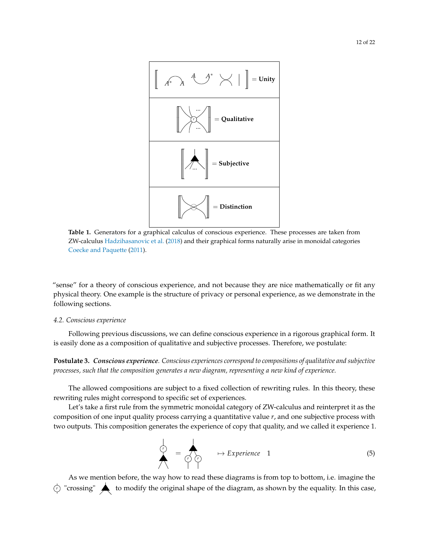<span id="page-11-0"></span>

**Table 1.** Generators for a graphical calculus of conscious experience. These processes are taken from ZW-calculus [Hadzihasanovic et al.](#page-19-7) [\(2018\)](#page-19-7) and their graphical forms naturally arise in monoidal categories [Coecke and Paquette](#page-19-2) [\(2011\)](#page-19-2).

"sense" for a theory of conscious experience, and not because they are nice mathematically or fit any physical theory. One example is the structure of privacy or personal experience, as we demonstrate in the following sections.

## *4.2. Conscious experience*

Following previous discussions, we can define conscious experience in a rigorous graphical form. It is easily done as a composition of qualitative and subjective processes. Therefore, we postulate:

<span id="page-11-1"></span>**Postulate 3.** *Conscious experience. Conscious experiences correspond to compositions of qualitative and subjective processes, such that the composition generates a new diagram, representing a new kind of experience.*

The allowed compositions are subject to a fixed collection of rewriting rules. In this theory, these rewriting rules might correspond to specific set of experiences.

Let's take a first rule from the symmetric monoidal category of ZW-calculus and reinterpret it as the composition of one input quality process carrying a quantitative value *r*, and one subjective process with two outputs. This composition generates the experience of copy that quality, and we called it experience 1.

<span id="page-11-2"></span>
$$
\begin{array}{ccc}\n\downarrow \\
\downarrow \\
\uparrow\n\end{array} = \begin{array}{ccc}\n\downarrow \\
\downarrow \\
\downarrow\n\end{array} \qquad \mapsto Experience \quad 1
$$
\n(5)

As we mention before, the way how to read these diagrams is from top to bottom, i.e. imagine the  $\circled{\phi}$  "crossing"  $\blacktriangle$  to modify the original shape of the diagram, as shown by the equality. In this case,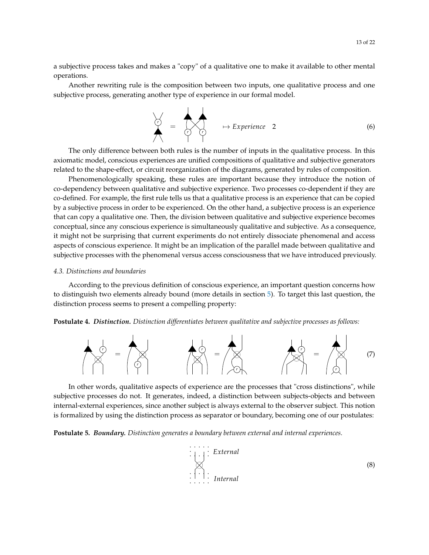a subjective process takes and makes a "copy" of a qualitative one to make it available to other mental operations.

Another rewriting rule is the composition between two inputs, one qualitative process and one subjective process, generating another type of experience in our formal model.

$$
\begin{array}{rcl}\n\bigcirc \\
\searrow \\
\searrow\n\end{array}\n\quad \mapsto Experience \quad 2
$$
\n(6)

The only difference between both rules is the number of inputs in the qualitative process. In this axiomatic model, conscious experiences are unified compositions of qualitative and subjective generators related to the shape-effect, or circuit reorganization of the diagrams, generated by rules of composition.

Phenomenologically speaking, these rules are important because they introduce the notion of co-dependency between qualitative and subjective experience. Two processes co-dependent if they are co-defined. For example, the first rule tells us that a qualitative process is an experience that can be copied by a subjective process in order to be experienced. On the other hand, a subjective process is an experience that can copy a qualitative one. Then, the division between qualitative and subjective experience becomes conceptual, since any conscious experience is simultaneously qualitative and subjective. As a consequence, it might not be surprising that current experiments do not entirely dissociate phenomenal and access aspects of conscious experience. It might be an implication of the parallel made between qualitative and subjective processes with the phenomenal versus access consciousness that we have introduced previously.

## *4.3. Distinctions and boundaries*

According to the previous definition of conscious experience, an important question concerns how to distinguish two elements already bound (more details in section [5\)](#page-14-0). To target this last question, the distinction process seems to present a compelling property:

**Postulate 4.** *Distinction. Distinction differentiates between qualitative and subjective processes as follows:*

<span id="page-12-2"></span>

In other words, qualitative aspects of experience are the processes that "cross distinctions", while subjective processes do not. It generates, indeed, a distinction between subjects-objects and between internal-external experiences, since another subject is always external to the observer subject. This notion is formalized by using the distinction process as separator or boundary, becoming one of our postulates:

<span id="page-12-0"></span>**Postulate 5.** *Boundary. Distinction generates a boundary between external and internal experiences.*

<span id="page-12-1"></span>
$$
\begin{array}{c}\n\vdots \\
\vdots \\
\vdots \\
\vdots \\
\vdots \\
\vdots\n\end{array}
$$
\n
$$
\begin{array}{c}\n\vdots \\
\vdots \\
\vdots \\
\vdots \\
\vdots\n\end{array}
$$
\n
$$
\begin{array}{c}\n\vdots \\
\vdots \\
\vdots \\
\vdots \\
\vdots\n\end{array}
$$
\n
$$
\begin{array}{c}\n\vdots \\
\vdots \\
\vdots \\
\vdots \\
\vdots\n\end{array}
$$
\n
$$
\begin{array}{c}\n\vdots \\
\vdots \\
\vdots \\
\vdots \\
\vdots\n\end{array}
$$
\n
$$
\begin{array}{c}\n\vdots \\
\vdots \\
\vdots \\
\vdots \\
\vdots\n\end{array}
$$
\n
$$
\begin{array}{c}\n\vdots \\
\vdots \\
\vdots \\
\vdots \\
\vdots\n\end{array}
$$
\n
$$
\begin{array}{c}\n\vdots \\
\vdots \\
\vdots \\
\vdots \\
\vdots\n\end{array}
$$
\n
$$
\begin{array}{c}\n\vdots \\
\vdots \\
\vdots \\
\vdots \\
\vdots \\
\vdots\n\end{array}
$$
\n
$$
\begin{array}{c}\n\vdots \\
\vdots \\
\vdots \\
\vdots \\
\vdots \\
\vdots\n\end{array}
$$
\n
$$
\begin{array}{c}\n\vdots \\
\vdots \\
\vdots \\
\vdots \\
\vdots \\
\vdots\n\end{array}
$$
\n
$$
\begin{array}{c}\n\vdots \\
\vdots \\
\vdots \\
\vdots \\
\vdots \\
\vdots \\
\vdots\n\end{array}
$$
\n
$$
\begin{array}{c}\n\vdots \\
\vdots \\
\vdots \\
\vdots \\
\vdots \\
\vdots \\
\vdots \\
\vdots\n\end{array}
$$
\n
$$
\begin{array}{c}\n\vdots \\
\vdots \\
\vdots \\
\vdots \\
\vdots \\
\vdots \\
\vdots \\
\vdots\n\end{array}
$$
\n
$$
\begin{array}{c}\n\vdots \\
\vdots \\
\vdots \\
\vdots \\
\vdots \\
\vdots \\
\vdots \\
\vdots\n\end{array}
$$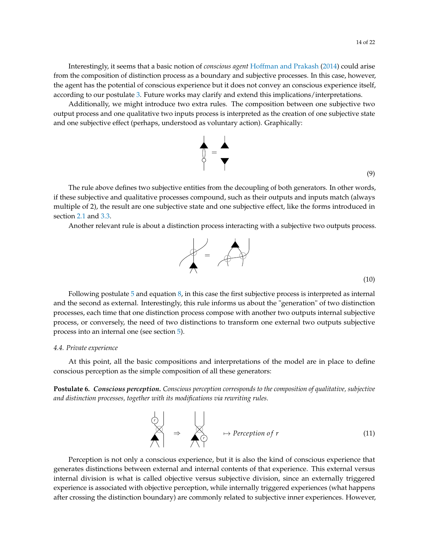Interestingly, it seems that a basic notion of *conscious agent* [Hoffman and Prakash](#page-19-16) [\(2014\)](#page-19-16) could arise from the composition of distinction process as a boundary and subjective processes. In this case, however, the agent has the potential of conscious experience but it does not convey an conscious experience itself, according to our postulate [3.](#page-11-1) Future works may clarify and extend this implications/interpretations.

Additionally, we might introduce two extra rules. The composition between one subjective two output process and one qualitative two inputs process is interpreted as the creation of one subjective state and one subjective effect (perhaps, understood as voluntary action). Graphically:

<span id="page-13-2"></span>

(9)

The rule above defines two subjective entities from the decoupling of both generators. In other words, if these subjective and qualitative processes compound, such as their outputs and inputs match (always multiple of 2), the result are one subjective state and one subjective effect, like the forms introduced in section [2.1](#page-1-1) and [3.3.](#page-7-2)

Another relevant rule is about a distinction process interacting with a subjective two outputs process.

<span id="page-13-1"></span>

(10)

Following postulate  $5$  and equation  $8$ , in this case the first subjective process is interpreted as internal and the second as external. Interestingly, this rule informs us about the "generation" of two distinction processes, each time that one distinction process compose with another two outputs internal subjective process, or conversely, the need of two distinctions to transform one external two outputs subjective process into an internal one (see section [5\)](#page-14-0).

#### *4.4. Private experience*

At this point, all the basic compositions and interpretations of the model are in place to define conscious perception as the simple composition of all these generators:

<span id="page-13-0"></span>**Postulate 6.** *Conscious perception. Conscious perception corresponds to the composition of qualitative, subjective and distinction processes, together with its modifications via rewriting rules.*

$$
\begin{array}{c}\n\downarrow \\
\nearrow \\
\nearrow\n\end{array}\n\Rightarrow\n\begin{array}{c}\n\downarrow \\
\nearrow\n\end{array}\n\Rightarrow\n\begin{array}{c}\n\text{Perception of } r\n\end{array}
$$
\n(11)

Perception is not only a conscious experience, but it is also the kind of conscious experience that generates distinctions between external and internal contents of that experience. This external versus internal division is what is called objective versus subjective division, since an externally triggered experience is associated with objective perception, while internally triggered experiences (what happens after crossing the distinction boundary) are commonly related to subjective inner experiences. However,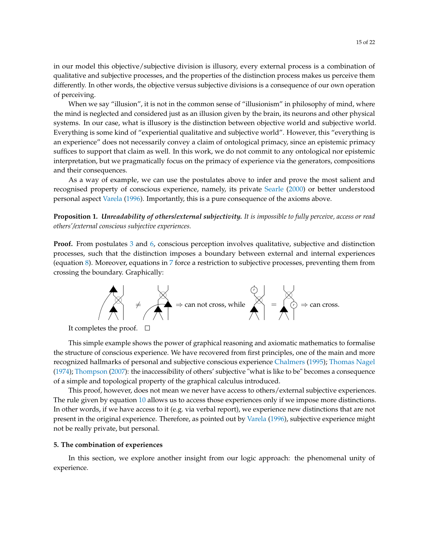in our model this objective/subjective division is illusory, every external process is a combination of qualitative and subjective processes, and the properties of the distinction process makes us perceive them differently. In other words, the objective versus subjective divisions is a consequence of our own operation of perceiving.

When we say "illusion", it is not in the common sense of "illusionism" in philosophy of mind, where the mind is neglected and considered just as an illusion given by the brain, its neurons and other physical systems. In our case, what is illusory is the distinction between objective world and subjective world. Everything is some kind of "experiential qualitative and subjective world". However, this "everything is an experience" does not necessarily convey a claim of ontological primacy, since an epistemic primacy suffices to support that claim as well. In this work, we do not commit to any ontological nor epistemic interpretation, but we pragmatically focus on the primacy of experience via the generators, compositions and their consequences.

As a way of example, we can use the postulates above to infer and prove the most salient and recognised property of conscious experience, namely, its private [Searle](#page-20-9) [\(2000\)](#page-20-9) or better understood personal aspect [Varela](#page-21-2) [\(1996\)](#page-21-2). Importantly, this is a pure consequence of the axioms above.

**Proposition 1.** *Unreadability of others/external subjectivity. It is impossible to fully perceive, access or read others'/external conscious subjective experiences.*

**Proof.** From postulates [3](#page-11-1) and [6,](#page-13-0) conscious perception involves qualitative, subjective and distinction processes, such that the distinction imposes a boundary between external and internal experiences (equation [8\)](#page-12-1). Moreover, equations in [7](#page-12-2) force a restriction to subjective processes, preventing them from crossing the boundary. Graphically:



It completes the proof.  $\Box$ 

This simple example shows the power of graphical reasoning and axiomatic mathematics to formalise the structure of conscious experience. We have recovered from first principles, one of the main and more recognized hallmarks of personal and subjective conscious experience [Chalmers](#page-19-13) [\(1995\)](#page-19-13); [Thomas Nagel](#page-20-12) [\(1974\)](#page-20-12); [Thompson](#page-20-5) [\(2007\)](#page-20-5): the inaccessibility of others' subjective "what is like to be" becomes a consequence of a simple and topological property of the graphical calculus introduced.

This proof, however, does not mean we never have access to others/external subjective experiences. The rule given by equation [10](#page-13-1) allows us to access those experiences only if we impose more distinctions. In other words, if we have access to it (e.g. via verbal report), we experience new distinctions that are not present in the original experience. Therefore, as pointed out by [Varela](#page-21-2) [\(1996\)](#page-21-2), subjective experience might not be really private, but personal.

#### <span id="page-14-0"></span>**5. The combination of experiences**

In this section, we explore another insight from our logic approach: the phenomenal unity of experience.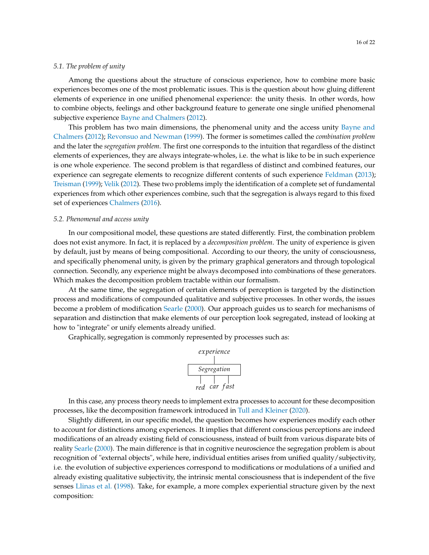Among the questions about the structure of conscious experience, how to combine more basic experiences becomes one of the most problematic issues. This is the question about how gluing different elements of experience in one unified phenomenal experience: the unity thesis. In other words, how to combine objects, feelings and other background feature to generate one single unified phenomenal subjective experience [Bayne and Chalmers](#page-19-8) [\(2012\)](#page-19-8).

This problem has two main dimensions, the phenomenal unity and the access unity [Bayne and](#page-19-8) [Chalmers](#page-19-8) [\(2012\)](#page-19-8); [Revonsuo and Newman](#page-20-16) [\(1999\)](#page-20-16). The former is sometimes called the *combination problem* and the later the *segregation problem*. The first one corresponds to the intuition that regardless of the distinct elements of experiences, they are always integrate-wholes, i.e. the what is like to be in such experience is one whole experience. The second problem is that regardless of distinct and combined features, our experience can segregate elements to recognize different contents of such experience [Feldman](#page-19-17) [\(2013\)](#page-19-17); [Treisman](#page-20-17) [\(1999\)](#page-20-17); [Velik](#page-21-6) [\(2012\)](#page-21-6). These two problems imply the identification of a complete set of fundamental experiences from which other experiences combine, such that the segregation is always regard to this fixed set of experiences [Chalmers](#page-19-18) [\(2016\)](#page-19-18).

#### *5.2. Phenomenal and access unity*

In our compositional model, these questions are stated differently. First, the combination problem does not exist anymore. In fact, it is replaced by a *decomposition problem*. The unity of experience is given by default, just by means of being compositional. According to our theory, the unity of consciousness, and specifically phenomenal unity, is given by the primary graphical generators and through topological connection. Secondly, any experience might be always decomposed into combinations of these generators. Which makes the decomposition problem tractable within our formalism.

At the same time, the segregation of certain elements of perception is targeted by the distinction process and modifications of compounded qualitative and subjective processes. In other words, the issues become a problem of modification [Searle](#page-20-9) [\(2000\)](#page-20-9). Our approach guides us to search for mechanisms of separation and distinction that make elements of our perception look segregated, instead of looking at how to "integrate" or unify elements already unified.

Graphically, segregation is commonly represented by processes such as:

$$
\begin{array}{c}\n\text{experience} \\
\hline\n\text{Segregation} \\
\hline\n\text{red car fast}\n\end{array}
$$

In this case, any process theory needs to implement extra processes to account for these decomposition processes, like the decomposition framework introduced in [Tull and Kleiner](#page-20-18) [\(2020\)](#page-20-18).

Slightly different, in our specific model, the question becomes how experiences modify each other to account for distinctions among experiences. It implies that different conscious perceptions are indeed modifications of an already existing field of consciousness, instead of built from various disparate bits of reality [Searle](#page-20-9) [\(2000\)](#page-20-9). The main difference is that in cognitive neuroscience the segregation problem is about recognition of "external objects", while here, individual entities arises from unified quality/subjectivity, i.e. the evolution of subjective experiences correspond to modifications or modulations of a unified and already existing qualitative subjectivity, the intrinsic mental consciousness that is independent of the five senses [Llinas et al.](#page-20-19) [\(1998\)](#page-20-19). Take, for example, a more complex experiential structure given by the next composition: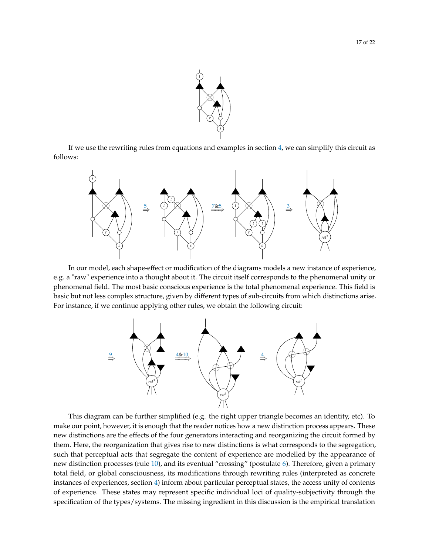

If we use the rewriting rules from equations and examples in section [4,](#page-10-0) we can simplify this circuit as follows:



In our model, each shape-effect or modification of the diagrams models a new instance of experience, e.g. a "raw" experience into a thought about it. The circuit itself corresponds to the phenomenal unity or phenomenal field. The most basic conscious experience is the total phenomenal experience. This field is basic but not less complex structure, given by different types of sub-circuits from which distinctions arise. For instance, if we continue applying other rules, we obtain the following circuit:



This diagram can be further simplified (e.g. the right upper triangle becomes an identity, etc). To make our point, however, it is enough that the reader notices how a new distinction process appears. These new distinctions are the effects of the four generators interacting and reorganizing the circuit formed by them. Here, the reorganization that gives rise to new distinctions is what corresponds to the segregation, such that perceptual acts that segregate the content of experience are modelled by the appearance of new distinction processes (rule [10\)](#page-13-1), and its eventual "crossing" (postulate [6\)](#page-13-0). Therefore, given a primary total field, or global consciousness, its modifications through rewriting rules (interpreted as concrete instances of experiences, section [4\)](#page-10-0) inform about particular perceptual states, the access unity of contents of experience. These states may represent specific individual loci of quality-subjectivity through the specification of the types/systems. The missing ingredient in this discussion is the empirical translation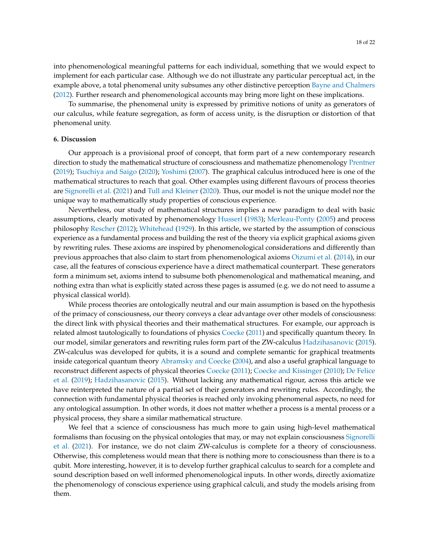into phenomenological meaningful patterns for each individual, something that we would expect to implement for each particular case. Although we do not illustrate any particular perceptual act, in the example above, a total phenomenal unity subsumes any other distinctive perception [Bayne and Chalmers](#page-19-8) [\(2012\)](#page-19-8). Further research and phenomenological accounts may bring more light on these implications.

To summarise, the phenomenal unity is expressed by primitive notions of unity as generators of our calculus, while feature segregation, as form of access unity, is the disruption or distortion of that phenomenal unity.

# <span id="page-17-0"></span>**6. Discussion**

Our approach is a provisional proof of concept, that form part of a new contemporary research direction to study the mathematical structure of consciousness and mathematize phenomenology [Prentner](#page-20-2) [\(2019\)](#page-20-2); [Tsuchiya and Saigo](#page-20-3) [\(2020\)](#page-20-3); [Yoshimi](#page-21-0) [\(2007\)](#page-21-0). The graphical calculus introduced here is one of the mathematical structures to reach that goal. Other examples using different flavours of process theories are [Signorelli et al.](#page-20-8) [\(2021\)](#page-20-8) and [Tull and Kleiner](#page-20-18) [\(2020\)](#page-20-18). Thus, our model is not the unique model nor the unique way to mathematically study properties of conscious experience.

Nevertheless, our study of mathematical structures implies a new paradigm to deal with basic assumptions, clearly motivated by phenomenology [Husserl](#page-19-1) [\(1983\)](#page-19-1); [Merleau-Ponty](#page-20-0) [\(2005\)](#page-20-0) and process philosophy [Rescher](#page-20-4) [\(2012\)](#page-20-4); [Whitehead](#page-21-1) [\(1929\)](#page-21-1). In this article, we started by the assumption of conscious experience as a fundamental process and building the rest of the theory via explicit graphical axioms given by rewriting rules. These axioms are inspired by phenomenological considerations and differently than previous approaches that also claim to start from phenomenological axioms [Oizumi et al.](#page-20-20) [\(2014\)](#page-20-20), in our case, all the features of conscious experience have a direct mathematical counterpart. These generators form a minimum set, axioms intend to subsume both phenomenological and mathematical meaning, and nothing extra than what is explicitly stated across these pages is assumed (e.g. we do not need to assume a physical classical world).

While process theories are ontologically neutral and our main assumption is based on the hypothesis of the primacy of consciousness, our theory conveys a clear advantage over other models of consciousness: the direct link with physical theories and their mathematical structures. For example, our approach is related almost tautologically to foundations of physics [Coecke](#page-19-14) [\(2011\)](#page-19-14) and specifically quantum theory. In our model, similar generators and rewriting rules form part of the ZW-calculus [Hadzihasanovic](#page-19-11) [\(2015\)](#page-19-11). ZW-calculus was developed for qubits, it is a sound and complete semantic for graphical treatments inside categorical quantum theory [Abramsky and Coecke](#page-18-2) [\(2004\)](#page-18-2), and also a useful graphical language to reconstruct different aspects of physical theories [Coecke](#page-19-14) [\(2011\)](#page-19-14); [Coecke and Kissinger](#page-19-19) [\(2010\)](#page-19-19); [De Felice](#page-19-20) [et al.](#page-19-20) [\(2019\)](#page-19-20); [Hadzihasanovic](#page-19-11) [\(2015\)](#page-19-11). Without lacking any mathematical rigour, across this article we have reinterpreted the nature of a partial set of their generators and rewriting rules. Accordingly, the connection with fundamental physical theories is reached only invoking phenomenal aspects, no need for any ontological assumption. In other words, it does not matter whether a process is a mental process or a physical process, they share a similar mathematical structure.

We feel that a science of consciousness has much more to gain using high-level mathematical formalisms than focusing on the physical ontologies that may, or may not explain consciousness [Signorelli](#page-20-21) [et al.](#page-20-21) [\(2021\)](#page-20-21). For instance, we do not claim ZW-calculus is complete for a theory of consciousness. Otherwise, this completeness would mean that there is nothing more to consciousness than there is to a qubit. More interesting, however, it is to develop further graphical calculus to search for a complete and sound description based on well informed phenomenological inputs. In other words, directly axiomatize the phenomenology of conscious experience using graphical calculi, and study the models arising from them.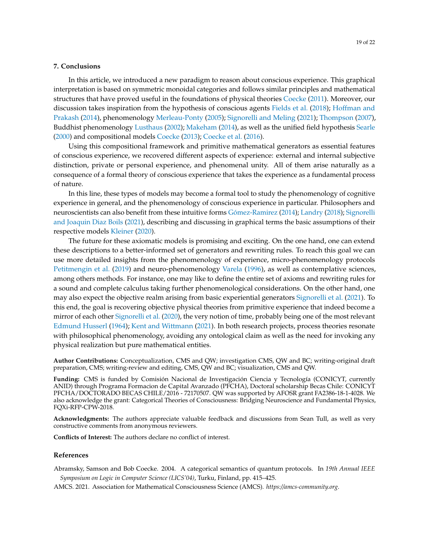# <span id="page-18-0"></span>**7. Conclusions**

In this article, we introduced a new paradigm to reason about conscious experience. This graphical interpretation is based on symmetric monoidal categories and follows similar principles and mathematical structures that have proved useful in the foundations of physical theories [Coecke](#page-19-14) [\(2011\)](#page-19-14). Moreover, our discussion takes inspiration from the hypothesis of conscious agents [Fields et al.](#page-19-21) [\(2018\)](#page-19-21); [Hoffman and](#page-19-16) [Prakash](#page-19-16) [\(2014\)](#page-19-16), phenomenology [Merleau-Ponty](#page-20-0) [\(2005\)](#page-20-0); [Signorelli and Meling](#page-20-15) [\(2021\)](#page-20-15); [Thompson](#page-20-5) [\(2007\)](#page-20-5), Buddhist phenomenology [Lusthaus](#page-20-7) [\(2002\)](#page-20-7); [Makeham](#page-20-22) [\(2014\)](#page-20-22), as well as the unified field hypothesis [Searle](#page-20-9) [\(2000\)](#page-20-9) and compositional models [Coecke](#page-19-6) [\(2013\)](#page-19-6); [Coecke et al.](#page-19-5) [\(2016\)](#page-19-5).

Using this compositional framework and primitive mathematical generators as essential features of conscious experience, we recovered different aspects of experience: external and internal subjective distinction, private or personal experience, and phenomenal unity. All of them arise naturally as a consequence of a formal theory of conscious experience that takes the experience as a fundamental process of nature.

In this line, these types of models may become a formal tool to study the phenomenology of cognitive experience in general, and the phenomenology of conscious experience in particular. Philosophers and neuroscientists can also benefit from these intuitive forms [Gómez-Ramirez](#page-19-22) [\(2014\)](#page-19-22); [Landry](#page-20-23) [\(2018\)](#page-20-23); [Signorelli](#page-20-24) [and Joaquin Diaz Boils](#page-20-24) [\(2021\)](#page-20-24), describing and discussing in graphical terms the basic assumptions of their respective models [Kleiner](#page-20-25) [\(2020\)](#page-20-25).

The future for these axiomatic models is promising and exciting. On the one hand, one can extend these descriptions to a better-informed set of generators and rewriting rules. To reach this goal we can use more detailed insights from the phenomenology of experience, micro-phenomenology protocols [Petitmengin et al.](#page-20-26) [\(2019\)](#page-20-26) and neuro-phenomenology [Varela](#page-21-2) [\(1996\)](#page-21-2), as well as contemplative sciences, among others methods. For instance, one may like to define the entire set of axioms and rewriting rules for a sound and complete calculus taking further phenomenological considerations. On the other hand, one may also expect the objective realm arising from basic experiential generators [Signorelli et al.](#page-20-8) [\(2021\)](#page-20-8). To this end, the goal is recovering objective physical theories from primitive experience that indeed become a mirror of each other [Signorelli et al.](#page-20-6) [\(2020\)](#page-20-6), the very notion of time, probably being one of the most relevant [Edmund Husserl](#page-19-10) [\(1964\)](#page-19-10); [Kent and Wittmann](#page-19-23) [\(2021\)](#page-19-23). In both research projects, process theories resonate with philosophical phenomenology, avoiding any ontological claim as well as the need for invoking any physical realization but pure mathematical entities.

**Author Contributions:** Conceptualization, CMS and QW; investigation CMS, QW and BC; writing-original draft preparation, CMS; writing-review and editing, CMS, QW and BC; visualization, CMS and QW.

**Funding:** CMS is funded by Comisión Nacional de Investigación Ciencia y Tecnología (CONICYT, currently ANID) through Programa Formacion de Capital Avanzado (PFCHA), Doctoral scholarship Becas Chile: CONICYT PFCHA/DOCTORADO BECAS CHILE/2016 - 72170507. QW was supported by AFOSR grant FA2386-18-1-4028. We also acknowledge the grant: Categorical Theories of Consciousness: Bridging Neuroscience and Fundamental Physics, FQXi-RFP-CPW-2018.

**Acknowledgments:** The authors appreciate valuable feedback and discussions from Sean Tull, as well as very constructive comments from anonymous reviewers.

**Conflicts of Interest:** The authors declare no conflict of interest.

# **References**

<span id="page-18-2"></span>Abramsky, Samson and Bob Coecke. 2004. A categorical semantics of quantum protocols. In *19th Annual IEEE Symposium on Logic in Computer Science (LICS'04)*, Turku, Finland, pp. 415–425.

<span id="page-18-1"></span>AMCS. 2021. Association for Mathematical Consciousness Science (AMCS). *https://amcs-community.org*.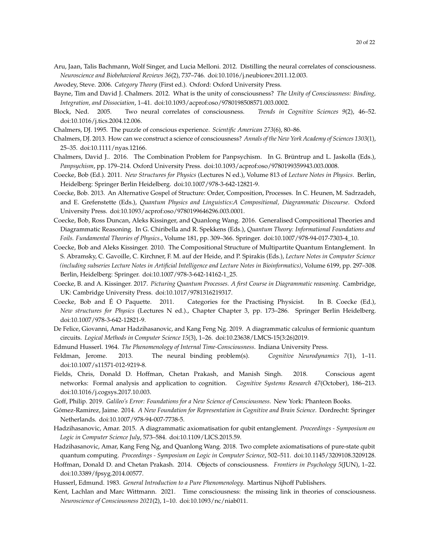- <span id="page-19-15"></span>Aru, Jaan, Talis Bachmann, Wolf Singer, and Lucia Melloni. 2012. Distilling the neural correlates of consciousness. *Neuroscience and Biobehavioral Reviews 36*(2), 737–746. doi[:10.1016/j.neubiorev.2011.12.003.](https://doi.org/10.1016/j.neubiorev.2011.12.003)
- <span id="page-19-4"></span>Awodey, Steve. 2006. *Category Theory* (First ed.). Oxford: Oxford University Press.
- <span id="page-19-8"></span>Bayne, Tim and David J. Chalmers. 2012. What is the unity of consciousness? *The Unity of Consciousness: Binding, Integration, and Dissociation*, 1–41. doi[:10.1093/acprof:oso/9780198508571.003.0002.](https://doi.org/10.1093/acprof:oso/9780198508571.003.0002)
- <span id="page-19-9"></span>Block, Ned. 2005. Two neural correlates of consciousness. *Trends in Cognitive Sciences 9*(2), 46–52. doi[:10.1016/j.tics.2004.12.006.](https://doi.org/10.1016/j.tics.2004.12.006)
- <span id="page-19-13"></span>Chalmers, DJ. 1995. The puzzle of conscious experience. *Scientific American 273*(6), 80–86.
- <span id="page-19-12"></span>Chalmers, DJ. 2013. How can we construct a science of consciousness? *Annals of the New York Academy of Sciences 1303*(1), 25–35. doi[:10.1111/nyas.12166.](https://doi.org/10.1111/nyas.12166)
- <span id="page-19-18"></span>Chalmers, David J.. 2016. The Combination Problem for Panpsychism. In G. Brüntrup and L. Jaskolla (Eds.), *Panpsychism*, pp. 179–214. Oxford University Press. doi[:10.1093/acprof:oso/9780199359943.003.0008.](https://doi.org/10.1093/acprof:oso/9780199359943.003.0008)
- <span id="page-19-14"></span>Coecke, Bob (Ed.). 2011. *New Structures for Physics* (Lectures N ed.), Volume 813 of *Lecture Notes in Physics*. Berlin, Heidelberg: Springer Berlin Heidelberg. doi[:10.1007/978-3-642-12821-9.](https://doi.org/10.1007/978-3-642-12821-9)
- <span id="page-19-6"></span>Coecke, Bob. 2013. An Alternative Gospel of Structure: Order, Composition, Processes. In C. Heunen, M. Sadrzadeh, and E. Grefenstette (Eds.), *Quantum Physics and Linguistics:A Compositional, Diagrammatic Discourse*. Oxford University Press. doi[:10.1093/acprof:oso/9780199646296.003.0001.](https://doi.org/10.1093/acprof:oso/9780199646296.003.0001)
- <span id="page-19-5"></span>Coecke, Bob, Ross Duncan, Aleks Kissinger, and Quanlong Wang. 2016. Generalised Compositional Theories and Diagrammatic Reasoning. In G. Chiribella and R. Spekkens (Eds.), *Quantum Theory: Informational Foundations and Foils. Fundamental Theories of Physics.*, Volume 181, pp. 309–366. Springer. doi[:10.1007/978-94-017-7303-4\\_10.](https://doi.org/10.1007/978-94-017-7303-4_10)
- <span id="page-19-19"></span>Coecke, Bob and Aleks Kissinger. 2010. The Compositional Structure of Multipartite Quantum Entanglement. In S. Abramsky, C. Gavoille, C. Kirchner, F. M. auf der Heide, and P. Spirakis (Eds.), *Lecture Notes in Computer Science (including subseries Lecture Notes in Artificial Intelligence and Lecture Notes in Bioinformatics)*, Volume 6199, pp. 297–308. Berlin, Heidelberg: Springer. doi[:10.1007/978-3-642-14162-1\\_25.](https://doi.org/10.1007/978-3-642-14162-1_25)
- <span id="page-19-3"></span>Coecke, B. and A. Kissinger. 2017. *Picturing Quantum Processes. A first Course in Diagrammatic reasoning*. Cambridge, UK: Cambridge University Press. doi[:10.1017/9781316219317.](https://doi.org/10.1017/9781316219317)
- <span id="page-19-2"></span>Coecke, Bob and É O Paquette. 2011. Categories for the Practising Physicist. In B. Coecke (Ed.), *New structures for Physics* (Lectures N ed.)., Chapter Chapter 3, pp. 173–286. Springer Berlin Heidelberg. doi[:10.1007/978-3-642-12821-9.](https://doi.org/10.1007/978-3-642-12821-9)
- <span id="page-19-20"></span>De Felice, Giovanni, Amar Hadzihasanovic, and Kang Feng Ng. 2019. A diagrammatic calculus of fermionic quantum circuits. *Logical Methods in Computer Science 15*(3), 1–26. doi[:10.23638/LMCS-15\(3:26\)2019.](https://doi.org/10.23638/LMCS-15(3:26)2019)
- <span id="page-19-10"></span>Edmund Husserl. 1964. *The Phenomenology of Internal Time-Consciousness*. Indiana University Press.
- <span id="page-19-17"></span>Feldman, Jerome. 2013. The neural binding problem(s). *Cognitive Neurodynamics 7*(1), 1–11. doi[:10.1007/s11571-012-9219-8.](https://doi.org/10.1007/s11571-012-9219-8)
- <span id="page-19-21"></span>Fields, Chris, Donald D. Hoffman, Chetan Prakash, and Manish Singh. 2018. Conscious agent networks: Formal analysis and application to cognition. *Cognitive Systems Research 47*(October), 186–213. doi[:10.1016/j.cogsys.2017.10.003.](https://doi.org/10.1016/j.cogsys.2017.10.003)
- <span id="page-19-0"></span>Goff, Philip. 2019. *Galileo's Error: Foundations for a New Science of Consciousness*. New York: Phanteon Books.
- <span id="page-19-22"></span>Gómez-Ramirez, Jaime. 2014. *A New Foundation for Representation in Cognitive and Brain Science*. Dordrecht: Springer Netherlands. doi[:10.1007/978-94-007-7738-5.](https://doi.org/10.1007/978-94-007-7738-5)
- <span id="page-19-11"></span>Hadzihasanovic, Amar. 2015. A diagrammatic axiomatisation for qubit entanglement. *Proceedings - Symposium on Logic in Computer Science July*, 573–584. doi[:10.1109/LICS.2015.59.](https://doi.org/10.1109/LICS.2015.59)
- <span id="page-19-7"></span>Hadzihasanovic, Amar, Kang Feng Ng, and Quanlong Wang. 2018. Two complete axiomatisations of pure-state qubit quantum computing. *Proceedings - Symposium on Logic in Computer Science*, 502–511. doi[:10.1145/3209108.3209128.](https://doi.org/10.1145/3209108.3209128)
- <span id="page-19-16"></span>Hoffman, Donald D. and Chetan Prakash. 2014. Objects of consciousness. *Frontiers in Psychology 5*(JUN), 1–22. doi[:10.3389/fpsyg.2014.00577.](https://doi.org/10.3389/fpsyg.2014.00577)
- <span id="page-19-1"></span>Husserl, Edmund. 1983. *General Introduction to a Pure Phenomenology*. Martinus Nijhoff Publishers.
- <span id="page-19-23"></span>Kent, Lachlan and Marc Wittmann. 2021. Time consciousness: the missing link in theories of consciousness. *Neuroscience of Consciousness 2021*(2), 1–10. doi[:10.1093/nc/niab011.](https://doi.org/10.1093/nc/niab011)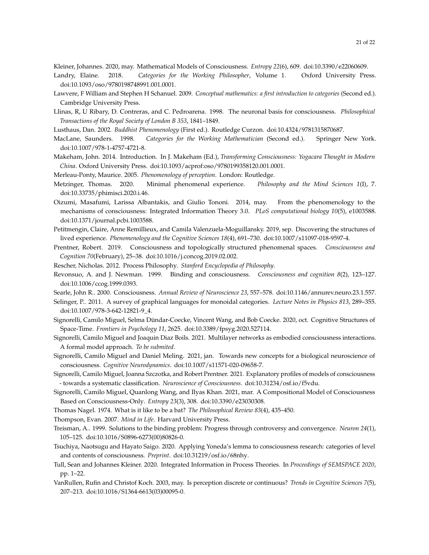<span id="page-20-25"></span>Kleiner, Johannes. 2020, may. Mathematical Models of Consciousness. *Entropy 22*(6), 609. doi[:10.3390/e22060609.](https://doi.org/10.3390/e22060609)

- <span id="page-20-23"></span>Landry, Elaine. 2018. *Categories for the Working Philosopher*, Volume 1. Oxford University Press. doi[:10.1093/oso/9780198748991.001.0001.](https://doi.org/10.1093/oso/9780198748991.001.0001)
- <span id="page-20-14"></span>Lawvere, F William and Stephen H Schanuel. 2009. *Conceptual mathematics: a first introduction to categories* (Second ed.). Cambridge University Press.
- <span id="page-20-19"></span>Llinas, R, U Ribary, D. Contreras, and C. Pedroarena. 1998. The neuronal basis for consciousness. *Philosophical Transactions of the Royal Society of London B 353*, 1841–1849.
- <span id="page-20-7"></span>Lusthaus, Dan. 2002. *Buddhist Phenomenology* (First ed.). Routledge Curzon. doi[:10.4324/9781315870687.](https://doi.org/10.4324/9781315870687)
- <span id="page-20-1"></span>MacLane, Saunders. 1998. *Categories for the Working Mathematician* (Second ed.). Springer New York. doi[:10.1007/978-1-4757-4721-8.](https://doi.org/10.1007/978-1-4757-4721-8)
- <span id="page-20-22"></span>Makeham, John. 2014. Introduction. In J. Makeham (Ed.), *Transforming Consciousness: Yogacara Thought in Modern China*. Oxford University Press. doi[:10.1093/acprof:oso/9780199358120.001.0001.](https://doi.org/10.1093/acprof:oso/9780199358120.001.0001)
- <span id="page-20-0"></span>Merleau-Ponty, Maurice. 2005. *Phenomenology of perception*. London: Routledge.
- <span id="page-20-13"></span>Metzinger, Thomas. 2020. Minimal phenomenal experience. *Philosophy and the Mind Sciences 1*(I), 7. doi[:10.33735/phimisci.2020.i.46.](https://doi.org/10.33735/phimisci.2020.i.46)
- <span id="page-20-20"></span>Oizumi, Masafumi, Larissa Albantakis, and Giulio Tononi. 2014, may. From the phenomenology to the mechanisms of consciousness: Integrated Information Theory 3.0. *PLoS computational biology 10*(5), e1003588. doi[:10.1371/journal.pcbi.1003588.](https://doi.org/10.1371/journal.pcbi.1003588)
- <span id="page-20-26"></span>Petitmengin, Claire, Anne Remillieux, and Camila Valenzuela-Moguillansky. 2019, sep. Discovering the structures of lived experience. *Phenomenology and the Cognitive Sciences 18*(4), 691–730. doi[:10.1007/s11097-018-9597-4.](https://doi.org/10.1007/s11097-018-9597-4)
- <span id="page-20-2"></span>Prentner, Robert. 2019. Consciousness and topologically structured phenomenal spaces. *Consciousness and Cognition 70*(February), 25–38. doi[:10.1016/j.concog.2019.02.002.](https://doi.org/10.1016/j.concog.2019.02.002)
- <span id="page-20-4"></span>Rescher, Nicholas. 2012. Process Philosophy. *Stanford Encyclopedia of Philosophy*.
- <span id="page-20-16"></span>Revonsuo, A. and J. Newman. 1999. Binding and consciousness. *Consciousness and cognition 8*(2), 123–127. doi[:10.1006/ccog.1999.0393.](https://doi.org/10.1006/ccog.1999.0393)
- <span id="page-20-9"></span>Searle, John R.. 2000. Consciousness. *Annual Review of Neuroscience 23*, 557–578. doi[:10.1146/annurev.neuro.23.1.557.](https://doi.org/10.1146/annurev.neuro.23.1.557)
- <span id="page-20-10"></span>Selinger, P.. 2011. A survey of graphical languages for monoidal categories. *Lecture Notes in Physics 813*, 289–355. doi[:10.1007/978-3-642-12821-9\\_4.](https://doi.org/10.1007/978-3-642-12821-9_4)
- <span id="page-20-6"></span>Signorelli, Camilo Miguel, Selma Dündar-Coecke, Vincent Wang, and Bob Coecke. 2020, oct. Cognitive Structures of Space-Time. *Frontiers in Psychology 11*, 2625. doi[:10.3389/fpsyg.2020.527114.](https://doi.org/10.3389/fpsyg.2020.527114)
- <span id="page-20-24"></span>Signorelli, Camilo Miguel and Joaquin Diaz Boils. 2021. Multilayer networks as embodied consciousness interactions. A formal model approach. *To be submited*.
- <span id="page-20-15"></span>Signorelli, Camilo Miguel and Daniel Meling. 2021, jan. Towards new concepts for a biological neuroscience of consciousness. *Cognitive Neurodynamics*. doi[:10.1007/s11571-020-09658-7.](https://doi.org/10.1007/s11571-020-09658-7)
- <span id="page-20-21"></span>Signorelli, Camilo Miguel, Joanna Szczotka, and Robert Prentner. 2021. Explanatory profiles of models of consciousness - towards a systematic classification. *Neuroscience of Consciousness*. doi[:10.31234/osf.io/f5vdu.](https://doi.org/10.31234/osf.io/f5vdu)
- <span id="page-20-8"></span>Signorelli, Camilo Miguel, Quanlong Wang, and Ilyas Khan. 2021, mar. A Compositional Model of Consciousness Based on Consciousness-Only. *Entropy 23*(3), 308. doi[:10.3390/e23030308.](https://doi.org/10.3390/e23030308)
- <span id="page-20-12"></span><span id="page-20-5"></span>Thomas Nagel. 1974. What is it like to be a bat? *The Philosophical Review 83*(4), 435–450.

<span id="page-20-17"></span>Thompson, Evan. 2007. *Mind in Life*. Harvard University Press.

- Treisman, A.. 1999. Solutions to the binding problem: Progress through controversy and convergence. *Neuron 24*(1), 105–125. doi[:10.1016/S0896-6273\(00\)80826-0.](https://doi.org/10.1016/S0896-6273(00)80826-0)
- <span id="page-20-3"></span>Tsuchiya, Naotsugu and Hayato Saigo. 2020. Applying Yoneda's lemma to consciousness research: categories of level and contents of consciousness. *Preprint*. doi[:10.31219/osf.io/68nhy.](https://doi.org/10.31219/osf.io/68nhy)
- <span id="page-20-18"></span>Tull, Sean and Johannes Kleiner. 2020. Integrated Information in Process Theories. In *Proceedings of SEMSPACE 2020*, pp. 1–22.
- <span id="page-20-11"></span>VanRullen, Rufin and Christof Koch. 2003, may. Is perception discrete or continuous? *Trends in Cognitive Sciences 7*(5), 207–213. doi[:10.1016/S1364-6613\(03\)00095-0.](https://doi.org/10.1016/S1364-6613(03)00095-0)